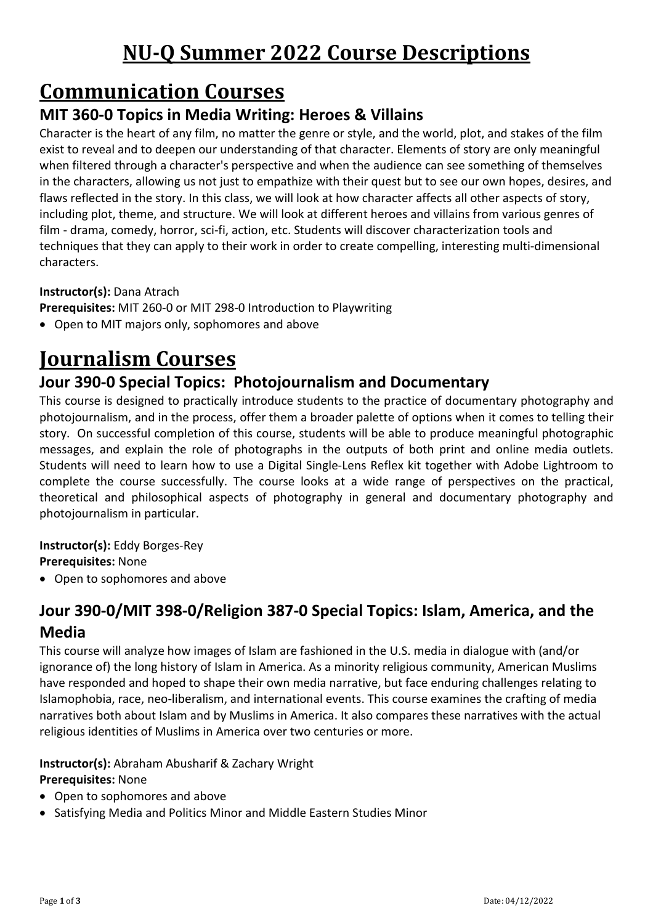# **NU-Q Summer 2022 Course Descriptions**

# **Communication Courses**

## **MIT 360-0 Topics in Media Writing: Heroes & Villains**

Character is the heart of any film, no matter the genre or style, and the world, plot, and stakes of the film exist to reveal and to deepen our understanding of that character. Elements of story are only meaningful when filtered through a character's perspective and when the audience can see something of themselves in the characters, allowing us not just to empathize with their quest but to see our own hopes, desires, and flaws reflected in the story. In this class, we will look at how character affects all other aspects of story, including plot, theme, and structure. We will look at different heroes and villains from various genres of film - drama, comedy, horror, sci-fi, action, etc. Students will discover characterization tools and techniques that they can apply to their work in order to create compelling, interesting multi-dimensional characters.

### **Instructor(s):** Dana Atrach

**Prerequisites:** MIT 260-0 or MIT 298-0 Introduction to Playwriting

• Open to MIT majors only, sophomores and above

# **Journalism Courses**

## **Jour 390-0 Special Topics: Photojournalism and Documentary**

This course is designed to practically introduce students to the practice of documentary photography and photojournalism, and in the process, offer them a broader palette of options when it comes to telling their story. On successful completion of this course, students will be able to produce meaningful photographic messages, and explain the role of photographs in the outputs of both print and online media outlets. Students will need to learn how to use a Digital Single-Lens Reflex kit together with Adobe Lightroom to complete the course successfully. The course looks at a wide range of perspectives on the practical, theoretical and philosophical aspects of photography in general and documentary photography and photojournalism in particular.

## **Instructor(s):** Eddy Borges-Rey

**Prerequisites:** None

• Open to sophomores and above

## **Jour 390-0/MIT 398-0/Religion 387-0 Special Topics: Islam, America, and the Media**

This course will analyze how images of Islam are fashioned in the U.S. media in dialogue with (and/or ignorance of) the long history of Islam in America. As a minority religious community, American Muslims have responded and hoped to shape their own media narrative, but face enduring challenges relating to Islamophobia, race, neo-liberalism, and international events. This course examines the crafting of media narratives both about Islam and by Muslims in America. It also compares these narratives with the actual religious identities of Muslims in America over two centuries or more.

### **Instructor(s):** Abraham Abusharif & Zachary Wright

### **Prerequisites:** None

- Open to sophomores and above
- Satisfying Media and Politics Minor and Middle Eastern Studies Minor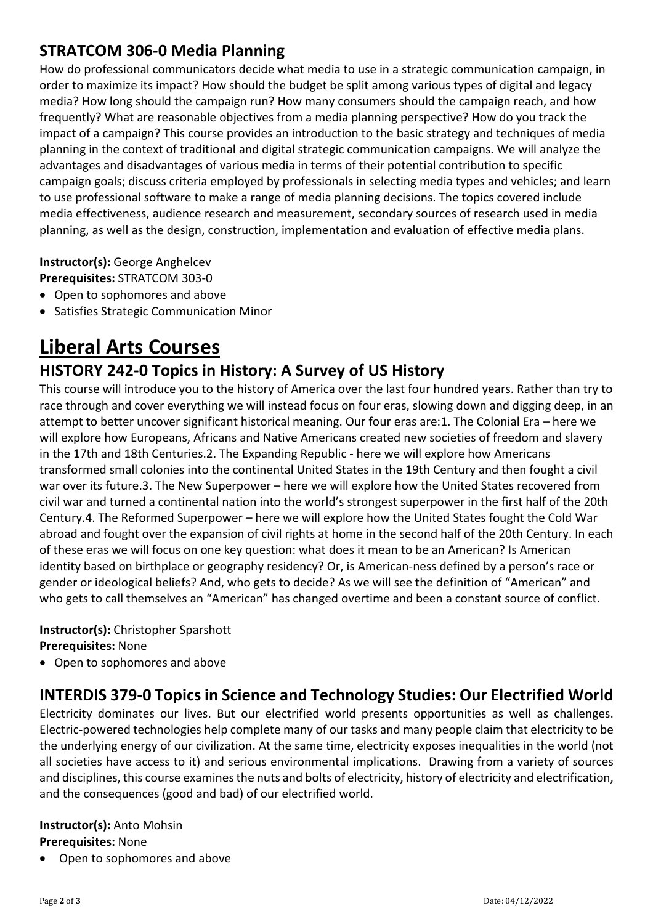## **STRATCOM 306-0 Media Planning**

How do professional communicators decide what media to use in a strategic communication campaign, in order to maximize its impact? How should the budget be split among various types of digital and legacy media? How long should the campaign run? How many consumers should the campaign reach, and how frequently? What are reasonable objectives from a media planning perspective? How do you track the impact of a campaign? This course provides an introduction to the basic strategy and techniques of media planning in the context of traditional and digital strategic communication campaigns. We will analyze the advantages and disadvantages of various media in terms of their potential contribution to specific campaign goals; discuss criteria employed by professionals in selecting media types and vehicles; and learn to use professional software to make a range of media planning decisions. The topics covered include media effectiveness, audience research and measurement, secondary sources of research used in media planning, as well as the design, construction, implementation and evaluation of effective media plans.

**Instructor(s):** George Anghelcev **Prerequisites:** STRATCOM 303-0

- Open to sophomores and above
- Satisfies Strategic Communication Minor

# **Liberal Arts Courses**

## **HISTORY 242-0 Topics in History: A Survey of US History**

This course will introduce you to the history of America over the last four hundred years. Rather than try to race through and cover everything we will instead focus on four eras, slowing down and digging deep, in an attempt to better uncover significant historical meaning. Our four eras are:1. The Colonial Era – here we will explore how Europeans, Africans and Native Americans created new societies of freedom and slavery in the 17th and 18th Centuries.2. The Expanding Republic - here we will explore how Americans transformed small colonies into the continental United States in the 19th Century and then fought a civil war over its future.3. The New Superpower – here we will explore how the United States recovered from civil war and turned a continental nation into the world's strongest superpower in the first half of the 20th Century.4. The Reformed Superpower – here we will explore how the United States fought the Cold War abroad and fought over the expansion of civil rights at home in the second half of the 20th Century. In each of these eras we will focus on one key question: what does it mean to be an American? Is American identity based on birthplace or geography residency? Or, is American-ness defined by a person's race or gender or ideological beliefs? And, who gets to decide? As we will see the definition of "American" and who gets to call themselves an "American" has changed overtime and been a constant source of conflict.

#### **Instructor(s):** Christopher Sparshott **Prerequisites:** None

• Open to sophomores and above

## **INTERDIS 379-0 Topics in Science and Technology Studies: Our Electrified World**

Electricity dominates our lives. But our electrified world presents opportunities as well as challenges. Electric-powered technologies help complete many of our tasks and many people claim that electricity to be the underlying energy of our civilization. At the same time, electricity exposes inequalities in the world (not all societies have access to it) and serious environmental implications. Drawing from a variety of sources and disciplines, this course examines the nuts and bolts of electricity, history of electricity and electrification, and the consequences (good and bad) of our electrified world.

#### **Instructor(s):** Anto Mohsin

#### **Prerequisites:** None

• Open to sophomores and above